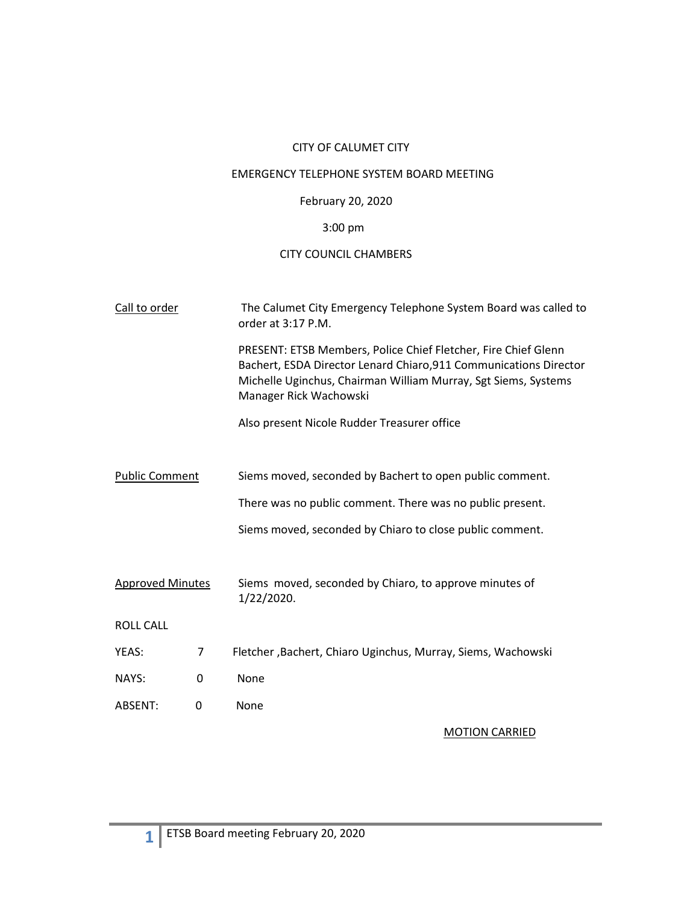# CITY OF CALUMET CITY

## EMERGENCY TELEPHONE SYSTEM BOARD MEETING

## February 20, 2020

# 3:00 pm

## CITY COUNCIL CHAMBERS

| Call to order           |   | The Calumet City Emergency Telephone System Board was called to<br>order at 3:17 P.M.                                                                                                                                           |  |
|-------------------------|---|---------------------------------------------------------------------------------------------------------------------------------------------------------------------------------------------------------------------------------|--|
|                         |   | PRESENT: ETSB Members, Police Chief Fletcher, Fire Chief Glenn<br>Bachert, ESDA Director Lenard Chiaro, 911 Communications Director<br>Michelle Uginchus, Chairman William Murray, Sgt Siems, Systems<br>Manager Rick Wachowski |  |
|                         |   | Also present Nicole Rudder Treasurer office                                                                                                                                                                                     |  |
|                         |   |                                                                                                                                                                                                                                 |  |
| <b>Public Comment</b>   |   | Siems moved, seconded by Bachert to open public comment.                                                                                                                                                                        |  |
|                         |   | There was no public comment. There was no public present.                                                                                                                                                                       |  |
|                         |   | Siems moved, seconded by Chiaro to close public comment.                                                                                                                                                                        |  |
|                         |   |                                                                                                                                                                                                                                 |  |
| <b>Approved Minutes</b> |   | Siems moved, seconded by Chiaro, to approve minutes of<br>1/22/2020.                                                                                                                                                            |  |
| <b>ROLL CALL</b>        |   |                                                                                                                                                                                                                                 |  |
| YEAS:                   | 7 | Fletcher, Bachert, Chiaro Uginchus, Murray, Siems, Wachowski                                                                                                                                                                    |  |
| NAYS:                   | 0 | None                                                                                                                                                                                                                            |  |
| ABSENT:                 | 0 | None                                                                                                                                                                                                                            |  |

### MOTION CARRIED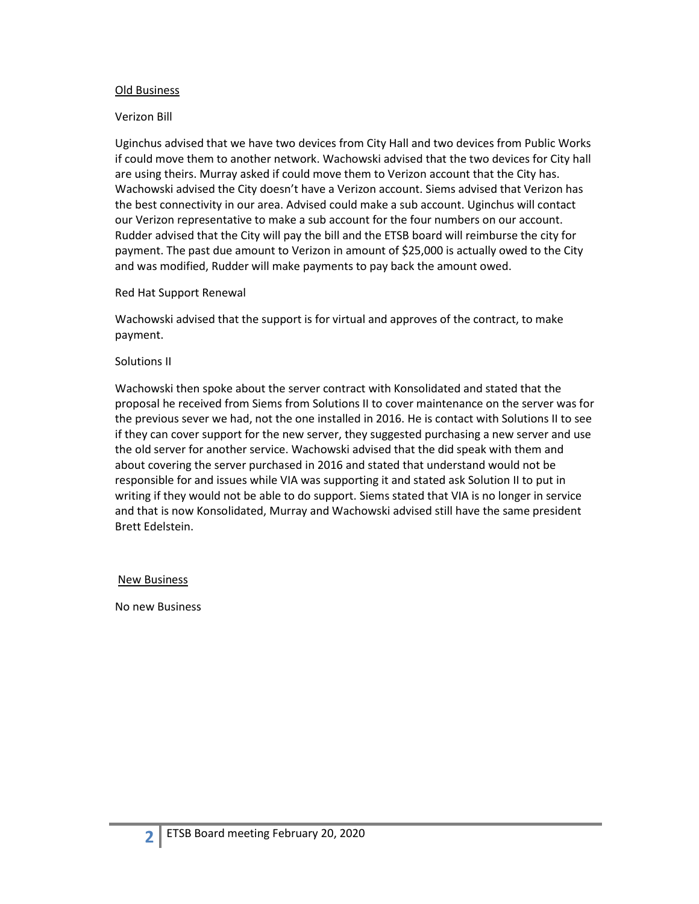### Old Business

### Verizon Bill

Uginchus advised that we have two devices from City Hall and two devices from Public Works if could move them to another network. Wachowski advised that the two devices for City hall are using theirs. Murray asked if could move them to Verizon account that the City has. Wachowski advised the City doesn't have a Verizon account. Siems advised that Verizon has the best connectivity in our area. Advised could make a sub account. Uginchus will contact our Verizon representative to make a sub account for the four numbers on our account. Rudder advised that the City will pay the bill and the ETSB board will reimburse the city for payment. The past due amount to Verizon in amount of \$25,000 is actually owed to the City and was modified, Rudder will make payments to pay back the amount owed.

#### Red Hat Support Renewal

Wachowski advised that the support is for virtual and approves of the contract, to make payment.

#### Solutions II

Wachowski then spoke about the server contract with Konsolidated and stated that the proposal he received from Siems from Solutions II to cover maintenance on the server was for the previous sever we had, not the one installed in 2016. He is contact with Solutions II to see if they can cover support for the new server, they suggested purchasing a new server and use the old server for another service. Wachowski advised that the did speak with them and about covering the server purchased in 2016 and stated that understand would not be responsible for and issues while VIA was supporting it and stated ask Solution II to put in writing if they would not be able to do support. Siems stated that VIA is no longer in service and that is now Konsolidated, Murray and Wachowski advised still have the same president Brett Edelstein.

### New Business

No new Business

**2**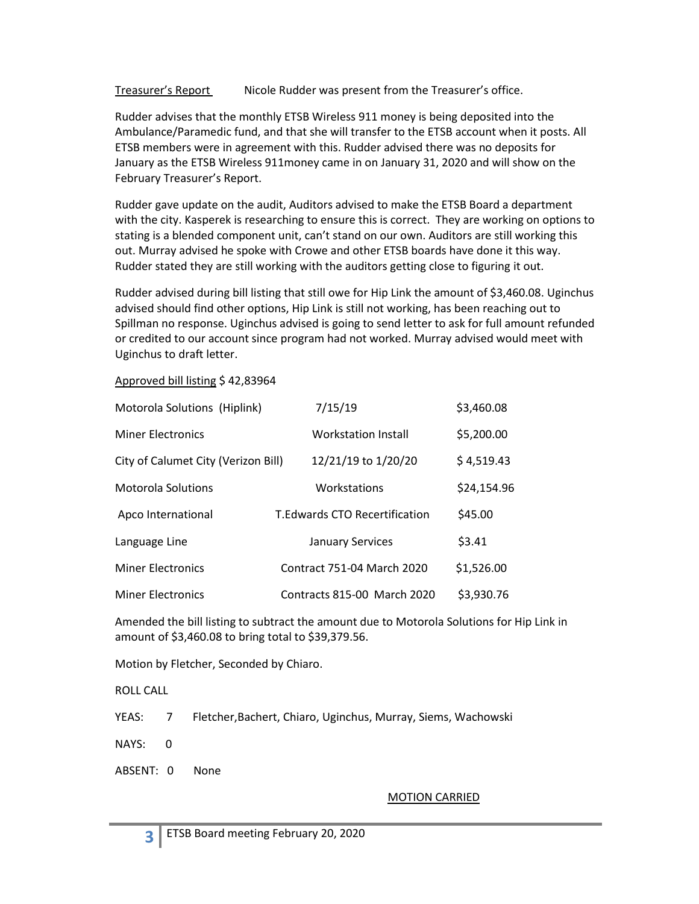Treasurer's Report Nicole Rudder was present from the Treasurer's office.

Rudder advises that the monthly ETSB Wireless 911 money is being deposited into the Ambulance/Paramedic fund, and that she will transfer to the ETSB account when it posts. All ETSB members were in agreement with this. Rudder advised there was no deposits for January as the ETSB Wireless 911money came in on January 31, 2020 and will show on the February Treasurer's Report.

Rudder gave update on the audit, Auditors advised to make the ETSB Board a department with the city. Kasperek is researching to ensure this is correct. They are working on options to stating is a blended component unit, can't stand on our own. Auditors are still working this out. Murray advised he spoke with Crowe and other ETSB boards have done it this way. Rudder stated they are still working with the auditors getting close to figuring it out.

Rudder advised during bill listing that still owe for Hip Link the amount of \$3,460.08. Uginchus advised should find other options, Hip Link is still not working, has been reaching out to Spillman no response. Uginchus advised is going to send letter to ask for full amount refunded or credited to our account since program had not worked. Murray advised would meet with Uginchus to draft letter.

Approved bill listing \$ 42,83964

| Motorola Solutions (Hiplink)        | 7/15/19                              | \$3,460.08  |
|-------------------------------------|--------------------------------------|-------------|
| <b>Miner Electronics</b>            | Workstation Install                  | \$5,200.00  |
| City of Calumet City (Verizon Bill) | 12/21/19 to 1/20/20                  | \$4,519.43  |
| Motorola Solutions                  | Workstations                         | \$24,154.96 |
| Apco International                  | <b>T.Edwards CTO Recertification</b> | \$45.00     |
| Language Line                       | <b>January Services</b>              | \$3.41      |
| <b>Miner Electronics</b>            | <b>Contract 751-04 March 2020</b>    | \$1,526.00  |
| <b>Miner Electronics</b>            | Contracts 815-00 March 2020          | \$3,930.76  |

Amended the bill listing to subtract the amount due to Motorola Solutions for Hip Link in amount of \$3,460.08 to bring total to \$39,379.56.

Motion by Fletcher, Seconded by Chiaro.

ROLL CALL

YEAS: 7 Fletcher,Bachert, Chiaro, Uginchus, Murray, Siems, Wachowski

NAYS: 0

**3**

ABSENT: 0 None

## MOTION CARRIED